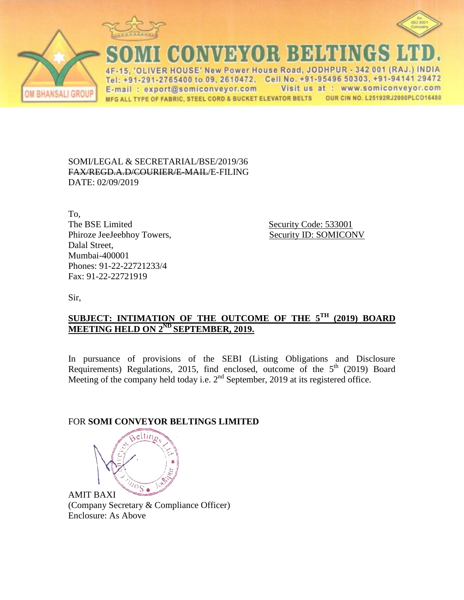





**CONVEYOR BELTINGS** 

VER HOUSE' New Power House Road, JODHPUR - 342 001 (RAJ.) INDIA  $\Delta F$ Tel: +91-291-2765400 to 09, 2610472, Cell No. +91-95496 50303, +91-94141 29472 E-mail: export@somiconveyor.com Visit us at : www.somiconveyor.com OUR CIN NO. L25192RJ2000PLCO16480 MFG ALL TYPE OF FABRIC, STEEL CORD & BUCKET ELEVATOR BELTS

SOMI/LEGAL & SECRETARIAL/BSE/2019/36 FAX/REGD.A.D/COURIER/E-MAIL/E-FILING DATE: 02/09/2019

To, The BSE Limited Security Code: 533001 Phiroze JeeJeebhoy Towers, Security ID: SOMICONV Dalal Street, Mumbai-400001 Phones: 91-22-22721233/4 Fax: 91-22-22721919

Sir,

## **SUBJECT: INTIMATION OF THE OUTCOME OF THE 5 TH (2019) BOARD MEETING HELD ON 2 ND SEPTEMBER, 2019.**

In pursuance of provisions of the SEBI (Listing Obligations and Disclosure Requirements) Regulations, 2015, find enclosed, outcome of the  $5<sup>th</sup>$  (2019) Board Meeting of the company held today i.e. 2<sup>nd</sup> September, 2019 at its registered office.

## FOR **SOMI CONVEYOR BELTINGS LIMITED**



AMIT BAXI (Company Secretary & Compliance Officer) Enclosure: As Above